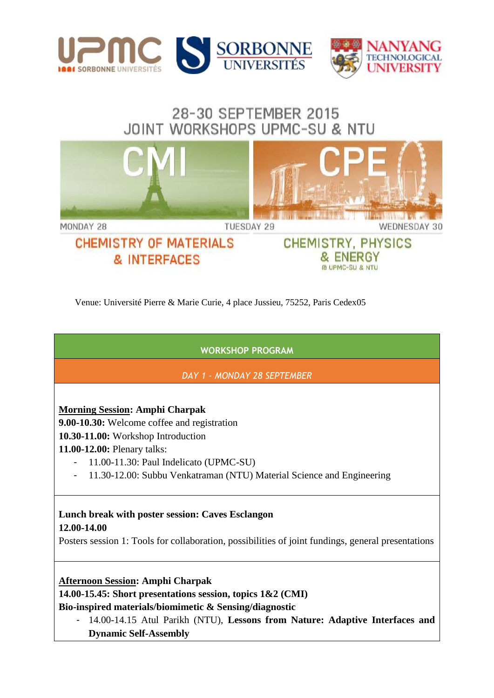

# 28-30 SEPTEMBER 2015 JOINT WORKSHOPS UPMC-SU & NTU



Venue: Université Pierre & Marie Curie, 4 place Jussieu, 75252, Paris Cedex05

**WORKSHOP PROGRAM**

*DAY 1 – MONDAY 28 SEPTEMBER*

#### **Morning Session: Amphi Charpak**

**9.00-10.30:** Welcome coffee and registration

**10.30-11.00:** Workshop Introduction

**11.00-12.00:** Plenary talks:

- 11.00-11.30: Paul Indelicato (UPMC-SU)
- 11.30-12.00: Subbu Venkatraman (NTU) Material Science and Engineering

#### **Lunch break with poster session: Caves Esclangon 12.00-14.00**

Posters session 1: Tools for collaboration, possibilities of joint fundings, general presentations

#### **Afternoon Session: Amphi Charpak**

**14.00-15.45: Short presentations session, topics 1&2 (CMI)** 

**Bio-inspired materials/biomimetic & Sensing/diagnostic** 

- 14.00-14.15 Atul Parikh (NTU), **Lessons from Nature: Adaptive Interfaces and Dynamic Self-Assembly**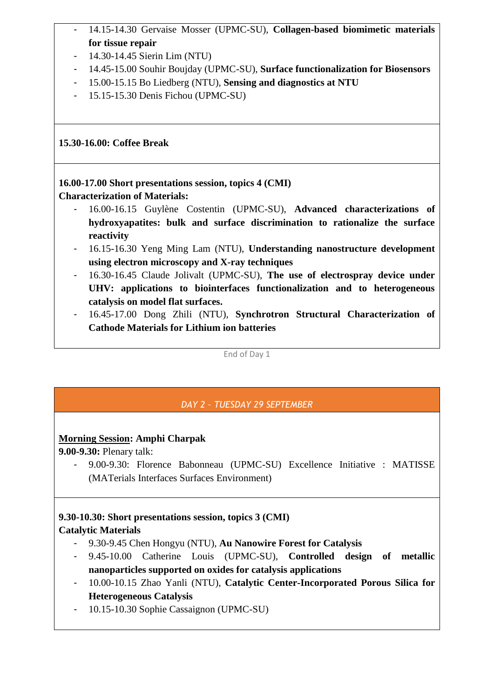- 14.15-14.30 Gervaise Mosser (UPMC-SU), **Collagen-based biomimetic materials for tissue repair**
- 14.30-14.45 Sierin Lim (NTU)
- 14.45-15.00 Souhir Boujday (UPMC-SU), **Surface functionalization for Biosensors**
- 15.00-15.15 Bo Liedberg (NTU), **Sensing and diagnostics at NTU**
- 15.15-15.30 Denis Fichou (UPMC-SU)

**15.30-16.00: Coffee Break** 

**16.00-17.00 Short presentations session, topics 4 (CMI) Characterization of Materials:** 

- 16.00-16.15 Guylène Costentin (UPMC-SU), **Advanced characterizations of hydroxyapatites: bulk and surface discrimination to rationalize the surface reactivity**
- 16.15-16.30 Yeng Ming Lam (NTU), **Understanding nanostructure development using electron microscopy and X-ray techniques**
- 16.30-16.45 Claude Jolivalt (UPMC-SU), **The use of electrospray device under UHV: applications to biointerfaces functionalization and to heterogeneous catalysis on model flat surfaces.**
- 16.45-17.00 Dong Zhili (NTU), **Synchrotron Structural Characterization of Cathode Materials for Lithium ion batteries**

End of Day 1

## *DAY 2 – TUESDAY 29 SEPTEMBER*

#### **Morning Session: Amphi Charpak**

**9.00-9.30:** Plenary talk:

- 9.00-9.30: Florence Babonneau (UPMC-SU) Excellence Initiative : MATISSE (MATerials Interfaces Surfaces Environment)

#### **9.30-10.30: Short presentations session, topics 3 (CMI) Catalytic Materials**

- 9.30-9.45 Chen Hongyu (NTU), **Au Nanowire Forest for Catalysis**
- 9.45-10.00 Catherine Louis (UPMC-SU), **Controlled design of metallic nanoparticles supported on oxides for catalysis applications**
- 10.00-10.15 Zhao Yanli (NTU), **Catalytic Center-Incorporated Porous Silica for Heterogeneous Catalysis**
- 10.15-10.30 Sophie Cassaignon (UPMC-SU)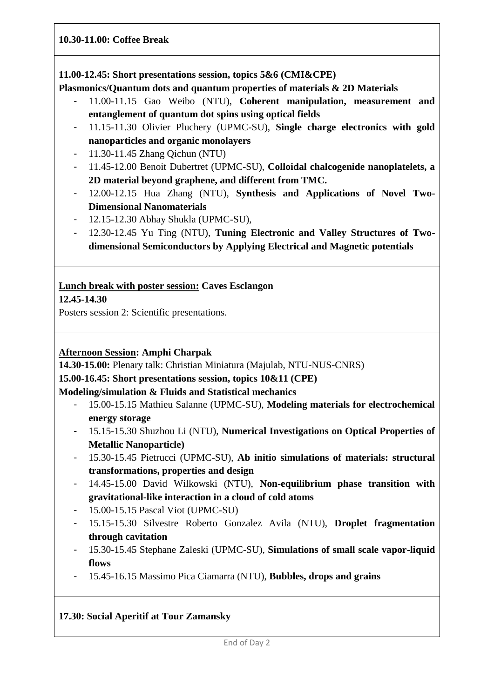#### **10.30-11.00: Coffee Break**

#### **11.00-12.45: Short presentations session, topics 5&6 (CMI&CPE)**

**Plasmonics/Quantum dots and quantum properties of materials & 2D Materials**

- 11.00-11.15 Gao Weibo (NTU), **Coherent manipulation, measurement and entanglement of quantum dot spins using optical fields**
- 11.15-11.30 Olivier Pluchery (UPMC-SU), **Single charge electronics with gold nanoparticles and organic monolayers**
- 11.30-11.45 Zhang Qichun (NTU)
- 11.45-12.00 Benoit Dubertret (UPMC-SU), **Colloidal chalcogenide nanoplatelets, a 2D material beyond graphene, and different from TMC.**
- 12.00-12.15 Hua Zhang (NTU), **Synthesis and Applications of Novel Two-Dimensional Nanomaterials**
- 12.15-12.30 Abhay Shukla (UPMC-SU),
- 12.30-12.45 Yu Ting (NTU), **Tuning Electronic and Valley Structures of Twodimensional Semiconductors by Applying Electrical and Magnetic potentials**

#### **Lunch break with poster session: Caves Esclangon**

**12.45-14.30** 

Posters session 2: Scientific presentations.

#### **Afternoon Session: Amphi Charpak**

**14.30-15.00:** Plenary talk: Christian Miniatura (Majulab, NTU-NUS-CNRS)

**15.00-16.45: Short presentations session, topics 10&11 (CPE)** 

#### **Modeling/simulation & Fluids and Statistical mechanics**

- 15.00-15.15 Mathieu Salanne (UPMC-SU), **Modeling materials for electrochemical energy storage**
- 15.15-15.30 Shuzhou Li (NTU), **Numerical Investigations on Optical Properties of Metallic Nanoparticle)**
- 15.30-15.45 Pietrucci (UPMC-SU), **Ab initio simulations of materials: structural transformations, properties and design**
- 14.45-15.00 David Wilkowski (NTU), **Non-equilibrium phase transition with gravitational-like interaction in a cloud of cold atoms**
- 15.00-15.15 Pascal Viot (UPMC-SU)
- 15.15-15.30 Silvestre Roberto Gonzalez Avila (NTU), **Droplet fragmentation through cavitation**
- 15.30-15.45 Stephane Zaleski (UPMC-SU), **Simulations of small scale vapor-liquid flows**
- 15.45-16.15 Massimo Pica Ciamarra (NTU), **Bubbles, drops and grains**

#### **17.30: Social Aperitif at Tour Zamansky**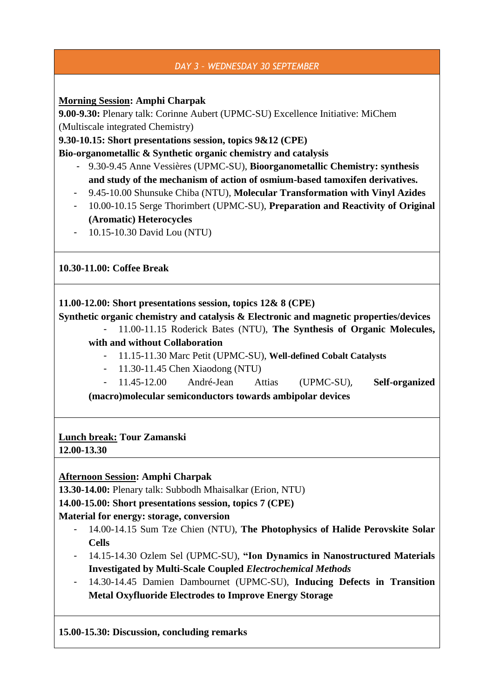## *DAY 3 – WEDNESDAY 30 SEPTEMBER*

**Morning Session: Amphi Charpak**

**9.00-9.30:** Plenary talk: Corinne Aubert (UPMC-SU) Excellence Initiative: MiChem (Multiscale integrated Chemistry)

**9.30-10.15: Short presentations session, topics 9&12 (CPE)**

**Bio-organometallic & Synthetic organic chemistry and catalysis**

- 9.30-9.45 Anne Vessières (UPMC-SU), **Bioorganometallic Chemistry: synthesis and study of the mechanism of action of osmium-based tamoxifen derivatives.**
- 9.45-10.00 Shunsuke Chiba (NTU), **Molecular Transformation with Vinyl Azides**
- 10.00-10.15 Serge Thorimbert (UPMC-SU), **Preparation and Reactivity of Original (Aromatic) Heterocycles**
- 10.15-10.30 David Lou (NTU)

**10.30-11.00: Coffee Break** 

**11.00-12.00: Short presentations session, topics 12& 8 (CPE)**

**Synthetic organic chemistry and catalysis & Electronic and magnetic properties/devices**

- 11.00-11.15 Roderick Bates (NTU), **The Synthesis of Organic Molecules, with and without Collaboration**
	- 11.15-11.30 Marc Petit (UPMC-SU), **Well-defined Cobalt Catalysts**
	- 11.30-11.45 Chen Xiaodong (NTU)
- 11.45-12.00 André-Jean Attias (UPMC-SU), **Self-organized (macro)molecular semiconductors towards ambipolar devices**

# **Lunch break: Tour Zamanski**

**12.00-13.30** 

#### **Afternoon Session: Amphi Charpak**

**13.30-14.00:** Plenary talk: Subbodh Mhaisalkar (Erion, NTU)

**14.00-15.00: Short presentations session, topics 7 (CPE)** 

#### **Material for energy: storage, conversion**

- 14.00-14.15 Sum Tze Chien (NTU), **The Photophysics of Halide Perovskite Solar Cells**
- 14.15-14.30 Ozlem Sel (UPMC-SU), **"Ion Dynamics in Nanostructured Materials Investigated by Multi-Scale Coupled** *Electrochemical Methods*
- 14.30-14.45 Damien Dambournet (UPMC-SU), **Inducing Defects in Transition Metal Oxyfluoride Electrodes to Improve Energy Storage**

**15.00-15.30: Discussion, concluding remarks**